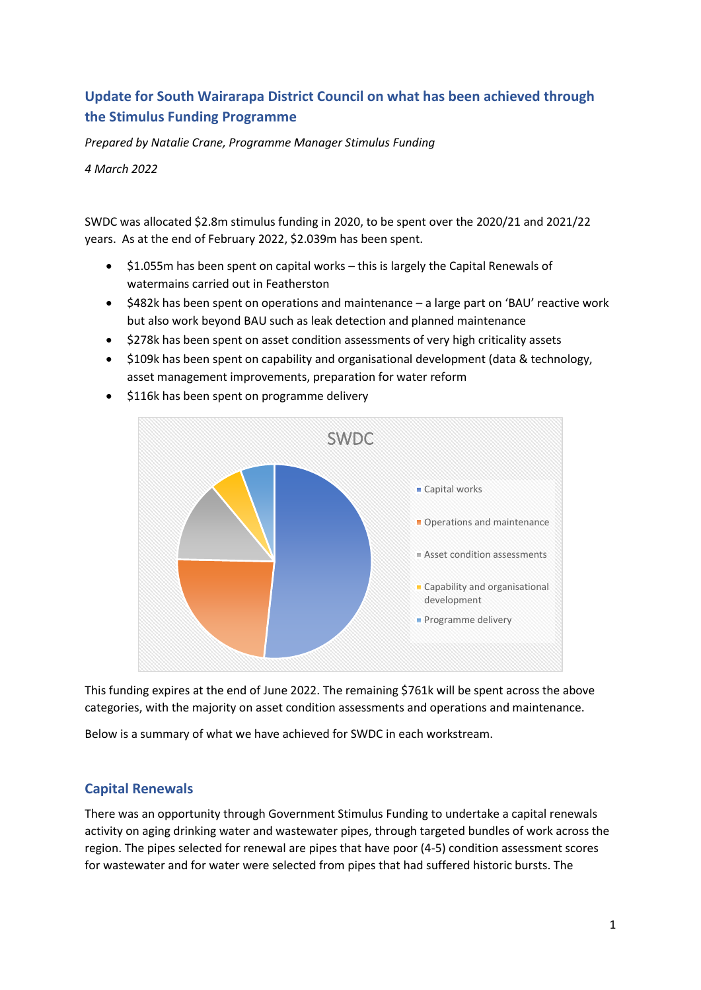# **Update for South Wairarapa District Council on what has been achieved through the Stimulus Funding Programme**

*Prepared by Natalie Crane, Programme Manager Stimulus Funding*

*4 March 2022*

SWDC was allocated \$2.8m stimulus funding in 2020, to be spent over the 2020/21 and 2021/22 years. As at the end of February 2022, \$2.039m has been spent.

- \$1.055m has been spent on capital works this is largely the Capital Renewals of watermains carried out in Featherston
- \$482k has been spent on operations and maintenance a large part on 'BAU' reactive work but also work beyond BAU such as leak detection and planned maintenance
- \$278k has been spent on asset condition assessments of very high criticality assets
- \$109k has been spent on capability and organisational development (data & technology, asset management improvements, preparation for water reform



• \$116k has been spent on programme delivery

This funding expires at the end of June 2022. The remaining \$761k will be spent across the above categories, with the majority on asset condition assessments and operations and maintenance.

Below is a summary of what we have achieved for SWDC in each workstream.

# **Capital Renewals**

There was an opportunity through Government Stimulus Funding to undertake a capital renewals activity on aging drinking water and wastewater pipes, through targeted bundles of work across the region. The pipes selected for renewal are pipes that have poor (4-5) condition assessment scores for wastewater and for water were selected from pipes that had suffered historic bursts. The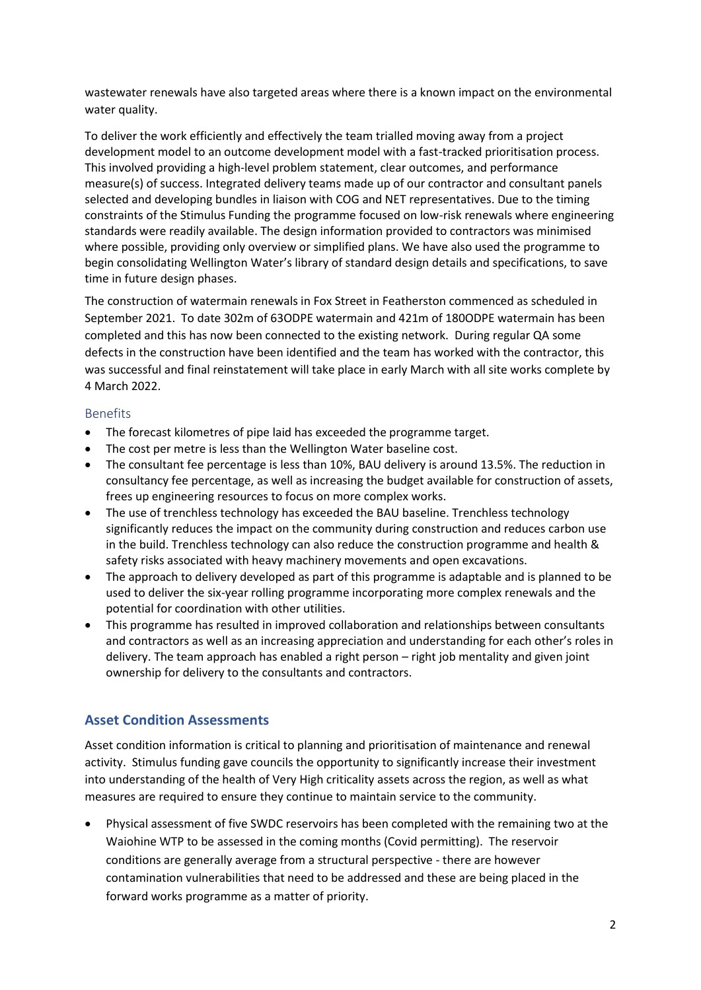wastewater renewals have also targeted areas where there is a known impact on the environmental water quality.

To deliver the work efficiently and effectively the team trialled moving away from a project development model to an outcome development model with a fast-tracked prioritisation process. This involved providing a high-level problem statement, clear outcomes, and performance measure(s) of success. Integrated delivery teams made up of our contractor and consultant panels selected and developing bundles in liaison with COG and NET representatives. Due to the timing constraints of the Stimulus Funding the programme focused on low-risk renewals where engineering standards were readily available. The design information provided to contractors was minimised where possible, providing only overview or simplified plans. We have also used the programme to begin consolidating Wellington Water's library of standard design details and specifications, to save time in future design phases.

The construction of watermain renewals in Fox Street in Featherston commenced as scheduled in September 2021. To date 302m of 63ODPE watermain and 421m of 180ODPE watermain has been completed and this has now been connected to the existing network. During regular QA some defects in the construction have been identified and the team has worked with the contractor, this was successful and final reinstatement will take place in early March with all site works complete by 4 March 2022.

#### Benefits

- The forecast kilometres of pipe laid has exceeded the programme target.
- The cost per metre is less than the Wellington Water baseline cost.
- The consultant fee percentage is less than 10%, BAU delivery is around 13.5%. The reduction in consultancy fee percentage, as well as increasing the budget available for construction of assets, frees up engineering resources to focus on more complex works.
- The use of trenchless technology has exceeded the BAU baseline. Trenchless technology significantly reduces the impact on the community during construction and reduces carbon use in the build. Trenchless technology can also reduce the construction programme and health & safety risks associated with heavy machinery movements and open excavations.
- The approach to delivery developed as part of this programme is adaptable and is planned to be used to deliver the six-year rolling programme incorporating more complex renewals and the potential for coordination with other utilities.
- This programme has resulted in improved collaboration and relationships between consultants and contractors as well as an increasing appreciation and understanding for each other's roles in delivery. The team approach has enabled a right person – right job mentality and given joint ownership for delivery to the consultants and contractors.

# **Asset Condition Assessments**

Asset condition information is critical to planning and prioritisation of maintenance and renewal activity. Stimulus funding gave councils the opportunity to significantly increase their investment into understanding of the health of Very High criticality assets across the region, as well as what measures are required to ensure they continue to maintain service to the community.

• Physical assessment of five SWDC reservoirs has been completed with the remaining two at the Waiohine WTP to be assessed in the coming months (Covid permitting). The reservoir conditions are generally average from a structural perspective - there are however contamination vulnerabilities that need to be addressed and these are being placed in the forward works programme as a matter of priority.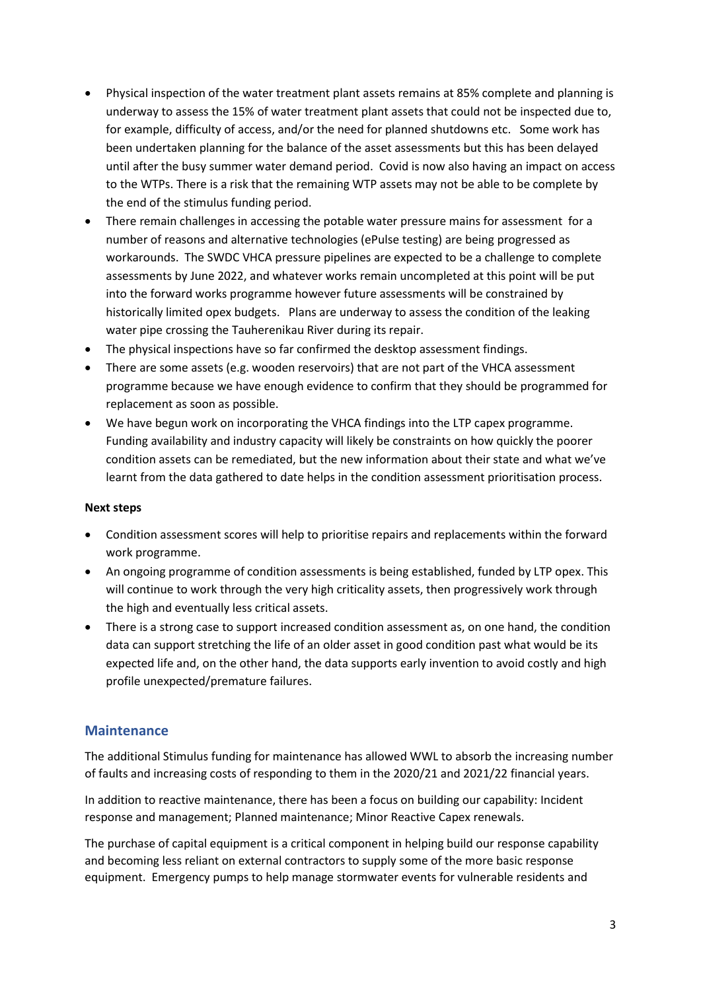- Physical inspection of the water treatment plant assets remains at 85% complete and planning is underway to assess the 15% of water treatment plant assets that could not be inspected due to, for example, difficulty of access, and/or the need for planned shutdowns etc. Some work has been undertaken planning for the balance of the asset assessments but this has been delayed until after the busy summer water demand period. Covid is now also having an impact on access to the WTPs. There is a risk that the remaining WTP assets may not be able to be complete by the end of the stimulus funding period.
- There remain challenges in accessing the potable water pressure mains for assessment for a number of reasons and alternative technologies (ePulse testing) are being progressed as workarounds. The SWDC VHCA pressure pipelines are expected to be a challenge to complete assessments by June 2022, and whatever works remain uncompleted at this point will be put into the forward works programme however future assessments will be constrained by historically limited opex budgets. Plans are underway to assess the condition of the leaking water pipe crossing the Tauherenikau River during its repair.
- The physical inspections have so far confirmed the desktop assessment findings.
- There are some assets (e.g. wooden reservoirs) that are not part of the VHCA assessment programme because we have enough evidence to confirm that they should be programmed for replacement as soon as possible.
- We have begun work on incorporating the VHCA findings into the LTP capex programme. Funding availability and industry capacity will likely be constraints on how quickly the poorer condition assets can be remediated, but the new information about their state and what we've learnt from the data gathered to date helps in the condition assessment prioritisation process.

#### **Next steps**

- Condition assessment scores will help to prioritise repairs and replacements within the forward work programme.
- An ongoing programme of condition assessments is being established, funded by LTP opex. This will continue to work through the very high criticality assets, then progressively work through the high and eventually less critical assets.
- There is a strong case to support increased condition assessment as, on one hand, the condition data can support stretching the life of an older asset in good condition past what would be its expected life and, on the other hand, the data supports early invention to avoid costly and high profile unexpected/premature failures.

#### **Maintenance**

The additional Stimulus funding for maintenance has allowed WWL to absorb the increasing number of faults and increasing costs of responding to them in the 2020/21 and 2021/22 financial years.

In addition to reactive maintenance, there has been a focus on building our capability: Incident response and management; Planned maintenance; Minor Reactive Capex renewals.

The purchase of capital equipment is a critical component in helping build our response capability and becoming less reliant on external contractors to supply some of the more basic response equipment. Emergency pumps to help manage stormwater events for vulnerable residents and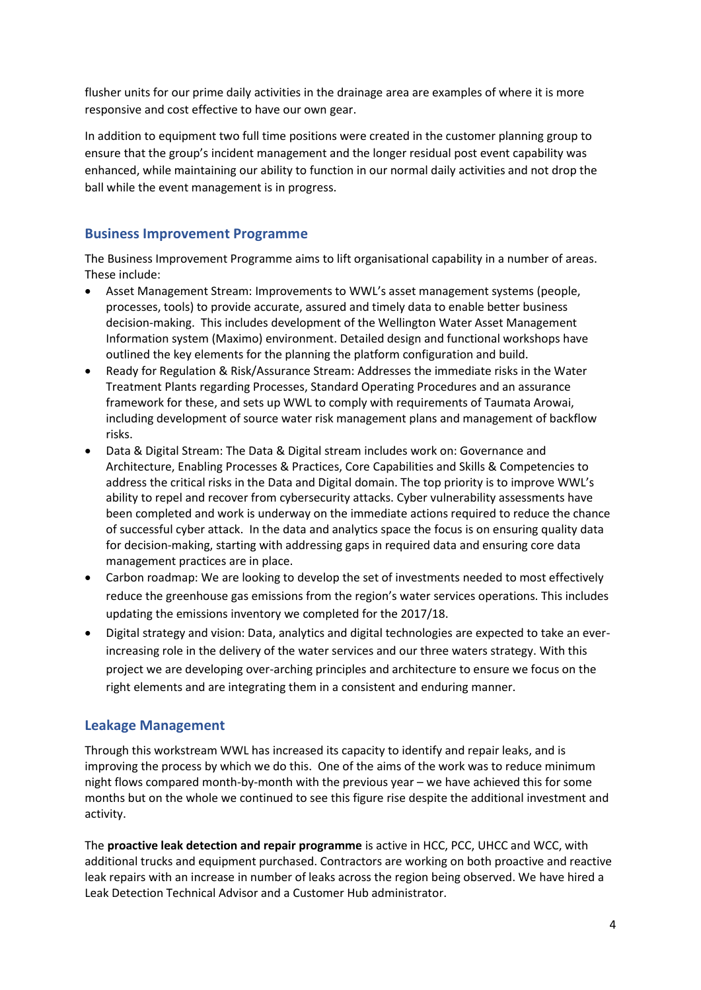flusher units for our prime daily activities in the drainage area are examples of where it is more responsive and cost effective to have our own gear.

In addition to equipment two full time positions were created in the customer planning group to ensure that the group's incident management and the longer residual post event capability was enhanced, while maintaining our ability to function in our normal daily activities and not drop the ball while the event management is in progress.

### **Business Improvement Programme**

The Business Improvement Programme aims to lift organisational capability in a number of areas. These include:

- Asset Management Stream: Improvements to WWL's asset management systems (people, processes, tools) to provide accurate, assured and timely data to enable better business decision-making. This includes development of the Wellington Water Asset Management Information system (Maximo) environment. Detailed design and functional workshops have outlined the key elements for the planning the platform configuration and build.
- Ready for Regulation & Risk/Assurance Stream: Addresses the immediate risks in the Water Treatment Plants regarding Processes, Standard Operating Procedures and an assurance framework for these, and sets up WWL to comply with requirements of Taumata Arowai, including development of source water risk management plans and management of backflow risks.
- Data & Digital Stream: The Data & Digital stream includes work on: Governance and Architecture, Enabling Processes & Practices, Core Capabilities and Skills & Competencies to address the critical risks in the Data and Digital domain. The top priority is to improve WWL's ability to repel and recover from cybersecurity attacks. Cyber vulnerability assessments have been completed and work is underway on the immediate actions required to reduce the chance of successful cyber attack. In the data and analytics space the focus is on ensuring quality data for decision-making, starting with addressing gaps in required data and ensuring core data management practices are in place.
- Carbon roadmap: We are looking to develop the set of investments needed to most effectively reduce the greenhouse gas emissions from the region's water services operations. This includes updating the emissions inventory we completed for the 2017/18.
- Digital strategy and vision: Data, analytics and digital technologies are expected to take an everincreasing role in the delivery of the water services and our three waters strategy. With this project we are developing over-arching principles and architecture to ensure we focus on the right elements and are integrating them in a consistent and enduring manner.

# **Leakage Management**

Through this workstream WWL has increased its capacity to identify and repair leaks, and is improving the process by which we do this. One of the aims of the work was to reduce minimum night flows compared month-by-month with the previous year – we have achieved this for some months but on the whole we continued to see this figure rise despite the additional investment and activity.

The **proactive leak detection and repair programme** is active in HCC, PCC, UHCC and WCC, with additional trucks and equipment purchased. Contractors are working on both proactive and reactive leak repairs with an increase in number of leaks across the region being observed. We have hired a Leak Detection Technical Advisor and a Customer Hub administrator.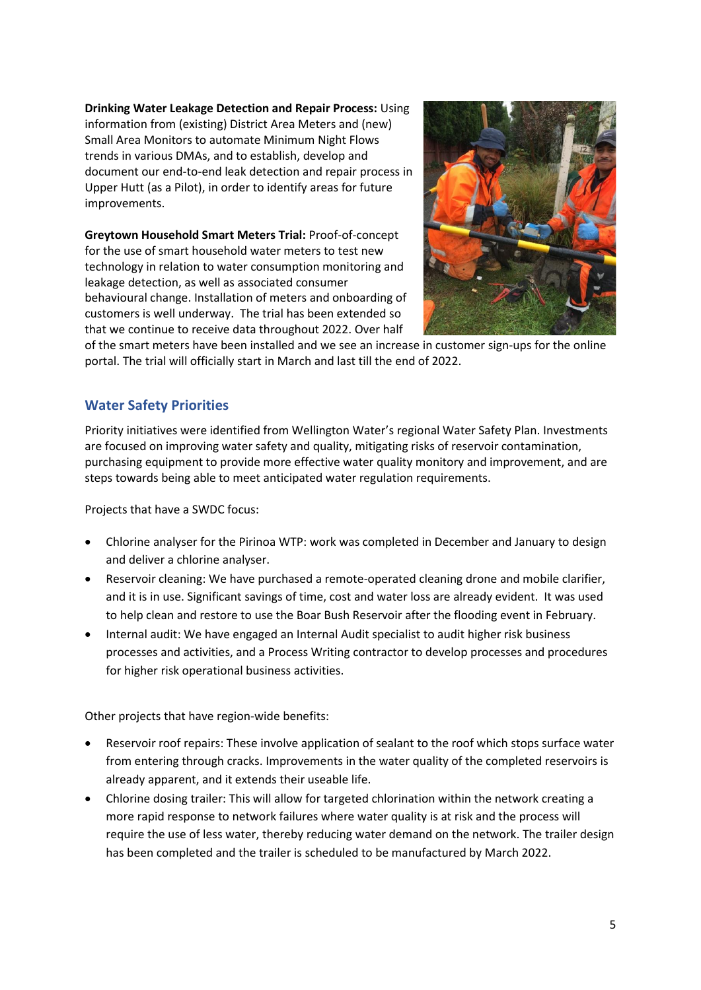**Drinking Water Leakage Detection and Repair Process:** Using information from (existing) District Area Meters and (new) Small Area Monitors to automate Minimum Night Flows trends in various DMAs, and to establish, develop and document our end-to-end leak detection and repair process in Upper Hutt (as a Pilot), in order to identify areas for future improvements.

**Greytown Household Smart Meters Trial:** Proof-of-concept for the use of smart household water meters to test new technology in relation to water consumption monitoring and leakage detection, as well as associated consumer behavioural change. Installation of meters and onboarding of customers is well underway. The trial has been extended so that we continue to receive data throughout 2022. Over half



of the smart meters have been installed and we see an increase in customer sign-ups for the online portal. The trial will officially start in March and last till the end of 2022.

# **Water Safety Priorities**

Priority initiatives were identified from Wellington Water's regional Water Safety Plan. Investments are focused on improving water safety and quality, mitigating risks of reservoir contamination, purchasing equipment to provide more effective water quality monitory and improvement, and are steps towards being able to meet anticipated water regulation requirements.

Projects that have a SWDC focus:

- Chlorine analyser for the Pirinoa WTP: work was completed in December and January to design and deliver a chlorine analyser.
- Reservoir cleaning: We have purchased a remote-operated cleaning drone and mobile clarifier, and it is in use. Significant savings of time, cost and water loss are already evident. It was used to help clean and restore to use the Boar Bush Reservoir after the flooding event in February.
- Internal audit: We have engaged an Internal Audit specialist to audit higher risk business processes and activities, and a Process Writing contractor to develop processes and procedures for higher risk operational business activities.

Other projects that have region-wide benefits:

- Reservoir roof repairs: These involve application of sealant to the roof which stops surface water from entering through cracks. Improvements in the water quality of the completed reservoirs is already apparent, and it extends their useable life.
- Chlorine dosing trailer: This will allow for targeted chlorination within the network creating a more rapid response to network failures where water quality is at risk and the process will require the use of less water, thereby reducing water demand on the network. The trailer design has been completed and the trailer is scheduled to be manufactured by March 2022.